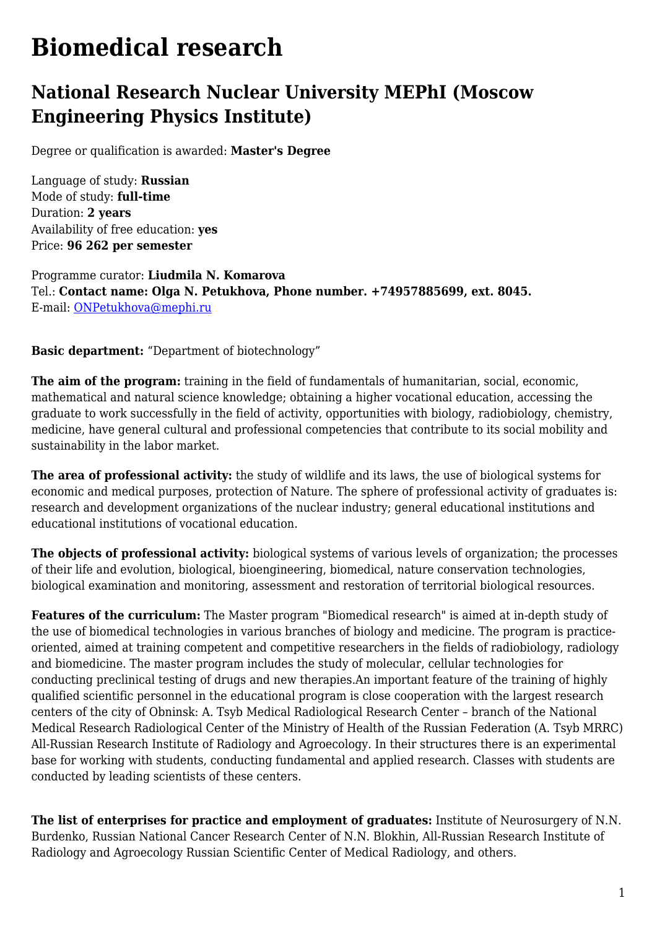## **Biomedical research**

## **National Research Nuclear University MEPhI (Moscow Engineering Physics Institute)**

Degree or qualification is awarded: **Master's Degree**

Language of study: **Russian** Mode of study: **full-time** Duration: **2 years** Availability of free education: **yes** Price: **96 262 per semester**

Programme curator: **Liudmila N. Komarova** Tel.: **Contact name: Olga N. Petukhova, Phone number. +74957885699, ext. 8045.** E-mail: [ONPetukhova@mephi.ru](mailto:ONPetukhova@mephi.ru)

**Basic department:** "Department of biotechnology"

**The aim of the program:** training in the field of fundamentals of humanitarian, social, economic, mathematical and natural science knowledge; obtaining a higher vocational education, accessing the graduate to work successfully in the field of activity, opportunities with biology, radiobiology, chemistry, medicine, have general cultural and professional competencies that contribute to its social mobility and sustainability in the labor market.

**The area of professional activity:** the study of wildlife and its laws, the use of biological systems for economic and medical purposes, protection of Nature. The sphere of professional activity of graduates is: research and development organizations of the nuclear industry; general educational institutions and educational institutions of vocational education.

**The objects of professional activity:** biological systems of various levels of organization; the processes of their life and evolution, biological, bioengineering, biomedical, nature conservation technologies, biological examination and monitoring, assessment and restoration of territorial biological resources.

**Features of the curriculum:** The Master program "Biomedical research" is aimed at in-depth study of the use of biomedical technologies in various branches of biology and medicine. The program is practiceoriented, aimed at training competent and competitive researchers in the fields of radiobiology, radiology and biomedicine. The master program includes the study of molecular, cellular technologies for conducting preclinical testing of drugs and new therapies.An important feature of the training of highly qualified scientific personnel in the educational program is close cooperation with the largest research centers of the city of Obninsk: A. Tsyb Medical Radiological Research Center – branch of the National Medical Research Radiological Center of the Ministry of Health of the Russian Federation (A. Tsyb MRRC) All-Russian Research Institute of Radiology and Agroecology. In their structures there is an experimental base for working with students, conducting fundamental and applied research. Classes with students are conducted by leading scientists of these centers.

**The list of enterprises for practice and employment of graduates:** Institute of Neurosurgery of N.N. Burdenko, Russian National Cancer Research Center of N.N. Blokhin, All-Russian Research Institute of Radiology and Agroecology Russian Scientific Center of Medical Radiology, and others.